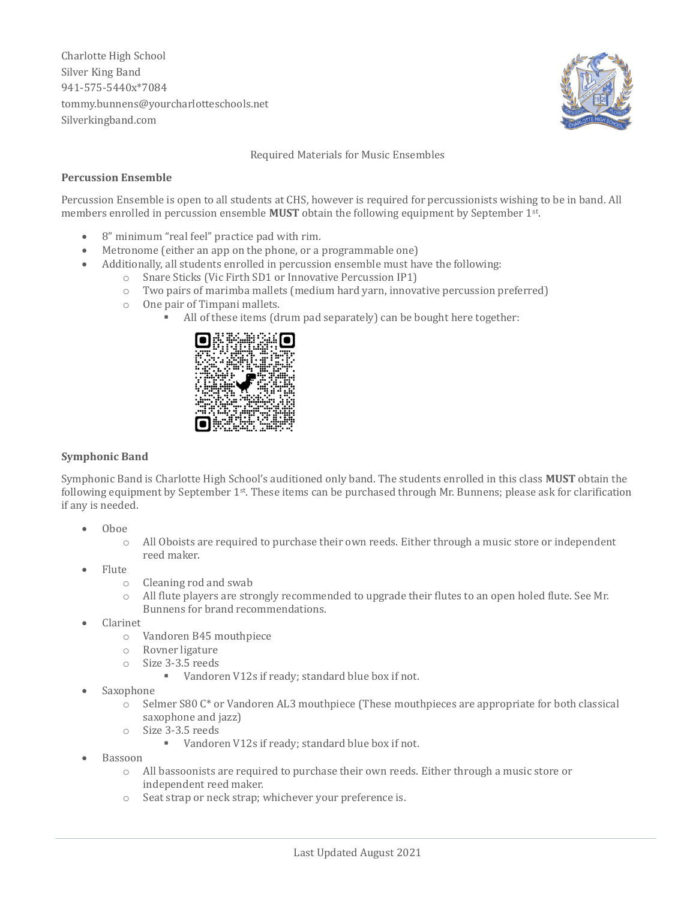Charlotte High School Silver King Band 941-575-5440x\*7084 tommy.bunnens@yourcharlotteschools.net Silverkingband.com



Required Materials for Music Ensembles

## **Percussion Ensemble**

Percussion Ensemble is open to all students at CHS, however is required for percussionists wishing to be in band. All members enrolled in percussion ensemble **MUST** obtain the following equipment by September 1st .

- 8" minimum "real feel" practice pad with rim.
- Metronome (either an app on the phone, or a programmable one)
- Additionally, all students enrolled in percussion ensemble must have the following:
	- o Snare Sticks (Vic Firth SD1 or Innovative Percussion IP1)
	- o Two pairs of marimba mallets (medium hard yarn, innovative percussion preferred)
	- o One pair of Timpani mallets.
		- All of these items (drum pad separately) can be bought here together:



## **Symphonic Band**

Symphonic Band is Charlotte High School's auditioned only band. The students enrolled in this class **MUST** obtain the following equipment by September 1st. These items can be purchased through Mr. Bunnens; please ask for clarification if any is needed.

- Oboe
	- o All Oboists are required to purchase their own reeds. Either through a music store or independent reed maker.
- Flute
	- o Cleaning rod and swab
	- o All flute players are strongly recommended to upgrade their flutes to an open holed flute. See Mr. Bunnens for brand recommendations.
- Clarinet
	- o Vandoren B45 mouthpiece
	- o Rovner ligature
	- o Size 3-3.5 reeds
		- Vandoren V12s if ready; standard blue box if not.
- Saxophone
	- o Selmer S80 C\* or Vandoren AL3 mouthpiece (These mouthpieces are appropriate for both classical saxophone and jazz)
	- o Size 3-3.5 reeds
		- Vandoren V12s if ready; standard blue box if not.
- Bassoon
	- o All bassoonists are required to purchase their own reeds. Either through a music store or independent reed maker.
	- o Seat strap or neck strap; whichever your preference is.